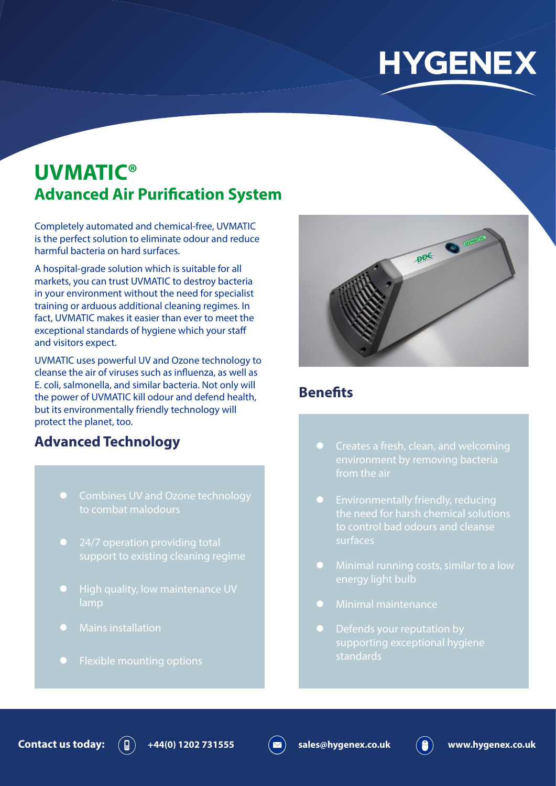# **HYGENEX**

# **UVMATIC® Advanced Air Purification System**

Completely automated and chemical-free, UVMATIC is the perfect solution to eliminate odour and reduce harmful bacteria on hard surfaces.

A hospital-grade solution which is suitable for all markets, you can trust UVMATIC to destroy bacteria in your environment without the need for specialist training or arduous additional cleaning regimes. In fact, UVMATIC makes it easier than ever to meet the exceptional standards of hygiene which your staff and visitors expect.

UVMATIC uses powerful UV and Ozone technology to cleanse the air of viruses such as influenza, as well as E. coli, salmonella, and similar bacteria. Not only will the power of UVMATIC kill odour and defend health, but its environmentally friendly technology will protect the planet, too.

## **Advanced Technology**

- Combines UV and Ozone technology to combat malodours
- 24/7 operation providing total support to existing cleaning regime
- 
- **Mains installation**
- $\bullet$  Flexible mounting options



#### **Benefits**

- from the air
- $\bullet$  Environmentally friendly, reducing surfaces
- energy light bulb
- $\bullet$  Minimal maintenance
- supporting exceptional hygiene standards